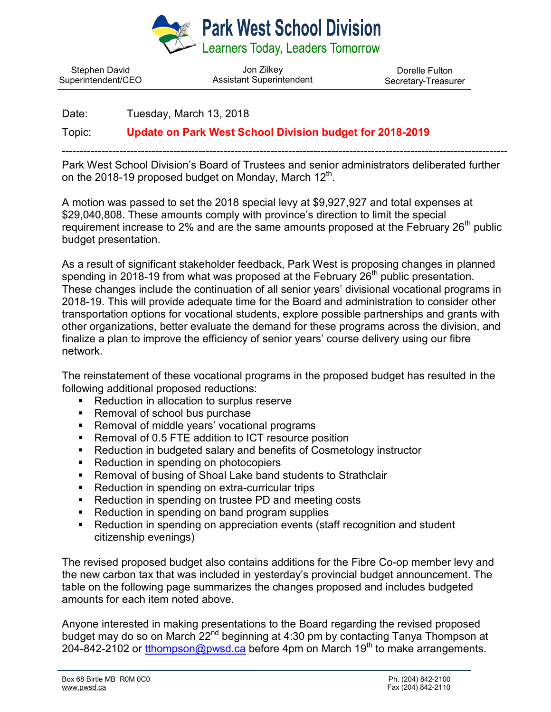

Stephen David Superintendent/CEO

Jon Zilkey Assistant Superintendent

Dorelle Fulton Secretary-Treasurer

Date: Tuesday, March 13, 2018

Topic: **Update on Park West School Division budget for 2018-2019**

Park West School Division's Board of Trustees and senior administrators deliberated further on the 2018-19 proposed budget on Monday, March  $12<sup>th</sup>$ .

----------------------------------------------------------------------------------------------------------------------------

A motion was passed to set the 2018 special levy at \$9,927,927 and total expenses at \$29,040,808. These amounts comply with province's direction to limit the special requirement increase to 2% and are the same amounts proposed at the February 26<sup>th</sup> public budget presentation.

As a result of significant stakeholder feedback, Park West is proposing changes in planned spending in 2018-19 from what was proposed at the February  $26<sup>th</sup>$  public presentation. These changes include the continuation of all senior years' divisional vocational programs in 2018-19. This will provide adequate time for the Board and administration to consider other transportation options for vocational students, explore possible partnerships and grants with other organizations, better evaluate the demand for these programs across the division, and finalize a plan to improve the efficiency of senior years' course delivery using our fibre network.

The reinstatement of these vocational programs in the proposed budget has resulted in the following additional proposed reductions:

- Reduction in allocation to surplus reserve
- Removal of school bus purchase
- Removal of middle years' vocational programs
- Removal of 0.5 FTE addition to ICT resource position
- Reduction in budgeted salary and benefits of Cosmetology instructor
- Reduction in spending on photocopiers
- Removal of busing of Shoal Lake band students to Strathclair
- Reduction in spending on extra-curricular trips
- Reduction in spending on trustee PD and meeting costs
- Reduction in spending on band program supplies
- Reduction in spending on appreciation events (staff recognition and student citizenship evenings)

The revised proposed budget also contains additions for the Fibre Co-op member levy and the new carbon tax that was included in yesterday's provincial budget announcement. The table on the following page summarizes the changes proposed and includes budgeted amounts for each item noted above.

Anyone interested in making presentations to the Board regarding the revised proposed budget may do so on March 22<sup>nd</sup> beginning at 4:30 pm by contacting Tanya Thompson at 204-842-2102 or [tthompson@pwsd.ca](mailto:tthompson@pwsd.ca) before 4pm on March 19<sup>th</sup> to make arrangements.